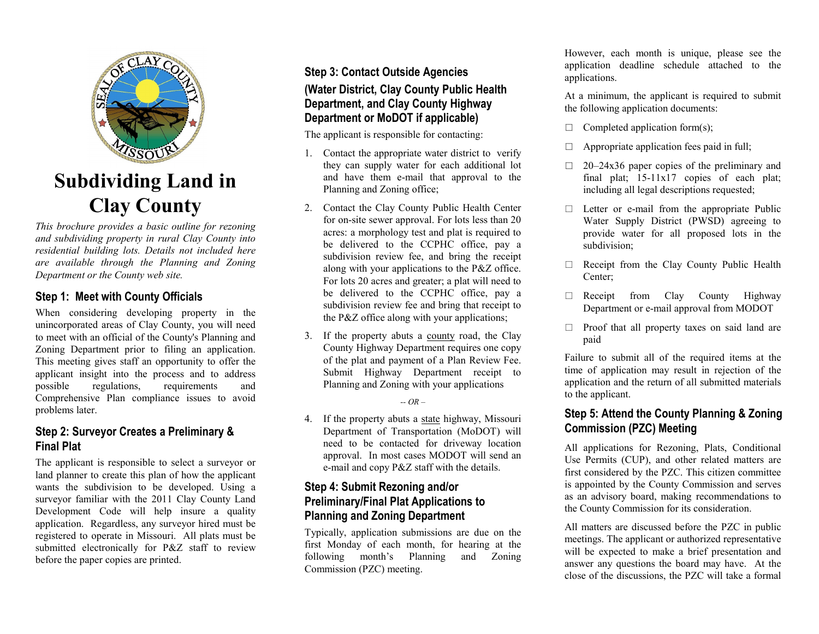

# **Subdividing Land in Clay County**

*This brochure provides a basic outline for rezoning and subdividing property in rural Clay County into residential building lots. Details not included here are available through the Planning and Zoning Department or the County web site.*

## **Step 1: Meet with County Officials**

When considering developing property in the unincorporated areas of Clay County, you will need to meet with an official of the County's Planning and Zoning Department prior to filing an application. This meeting gives staff an opportunity to offer the applicant insight into the process and to address possible regulations, requirements and Comprehensive Plan compliance issues to avoid problems later.

#### **Step 2: Surveyor Creates a Preliminary & Final Plat**

The applicant is responsible to select a surveyor or land planner to create this plan of how the applicant wants the subdivision to be developed. Using a surveyor familiar with the 2011 Clay County Land Development Code will help insure a quality application. Regardless, any surveyor hired must be registered to operate in Missouri. All plats must be submitted electronically for P&Z staff to review before the paper copies are printed.

## **Step 3: Contact Outside Agencies (Water District, Clay County Public Health Department, and Clay County Highway Department or MoDOT if applicable)**

The applicant is responsible for contacting:

- 1. Contact the appropriate water district to verify they can supply water for each additional lot and have them e-mail that approval to the Planning and Zoning office;
- 2. Contact the Clay County Public Health Center for on-site sewer approval. For lots less than 20 acres: a morphology test and plat is required to be delivered to the CCPHC office, pay a subdivision review fee, and bring the receipt along with your applications to the P&Z office. For lots 20 acres and greater; a plat will need to be delivered to the CCPHC office, pay a subdivision review fee and bring that receipt to the P&Z office along with your applications;
- 3. If the property abuts a county road, the Clay County Highway Department requires one copy of the plat and payment of a Plan Review Fee. Submit Highway Department receipt to Planning and Zoning with your applications

*-- OR –*

4. If the property abuts a state highway, Missouri Department of Transportation (MoDOT) will need to be contacted for driveway location approval. In most cases MODOT will send an e-mail and copy P&Z staff with the details.

## **Step 4: Submit Rezoning and/or Preliminary/Final Plat Applications to Planning and Zoning Department**

Typically, application submissions are due on the first Monday of each month, for hearing at the following month's Planning and Zoning Commission (PZC) meeting.

However, each month is unique, please see the application deadline schedule attached to the applications.

At a minimum, the applicant is required to submit the following application documents:

- $\Box$  Completed application form(s);
- $\Box$  Appropriate application fees paid in full;
- $\Box$  20–24x36 paper copies of the preliminary and final plat; 15-11x17 copies of each plat; including all legal descriptions requested;
- $\Box$  Letter or e-mail from the appropriate Public Water Supply District (PWSD) agreeing to provide water for all proposed lots in the subdivision;
- $\Box$  Receipt from the Clay County Public Health Center;
- $\Box$  Receipt from Clay County Highway Department or e-mail approval from MODOT
- $\Box$  Proof that all property taxes on said land are paid

Failure to submit all of the required items at the time of application may result in rejection of the application and the return of all submitted materials to the applicant.

## **Step 5: Attend the County Planning & Zoning Commission (PZC) Meeting**

All applications for Rezoning, Plats, Conditional Use Permits (CUP), and other related matters are first considered by the PZC. This citizen committee is appointed by the County Commission and serves as an advisory board, making recommendations to the County Commission for its consideration.

All matters are discussed before the PZC in public meetings. The applicant or authorized representative will be expected to make a brief presentation and answer any questions the board may have. At the close of the discussions, the PZC will take a formal